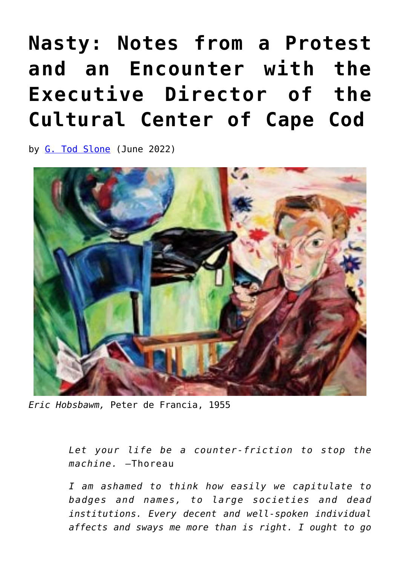## **[Nasty: Notes from a Protest](https://www.newenglishreview.org/articles/nasty-notes-from-a-protest-and-an-encounter-with-the-executive-director-of-the-cultural-center-of-cape-cod/) [and an Encounter with the](https://www.newenglishreview.org/articles/nasty-notes-from-a-protest-and-an-encounter-with-the-executive-director-of-the-cultural-center-of-cape-cod/) [Executive Director of the](https://www.newenglishreview.org/articles/nasty-notes-from-a-protest-and-an-encounter-with-the-executive-director-of-the-cultural-center-of-cape-cod/) [Cultural Center of Cape Cod](https://www.newenglishreview.org/articles/nasty-notes-from-a-protest-and-an-encounter-with-the-executive-director-of-the-cultural-center-of-cape-cod/)**

by [G. Tod Slone](https://www.newenglishreview.org/authors/g-tod-slone/) (June 2022)



*Eric Hobsbawm,* Peter de Francia, 1955

*Let your life be a counter-friction to stop the machine.* —Thoreau

*I am ashamed to think how easily we capitulate to badges and names, to large societies and dead institutions. Every decent and well-spoken individual affects and sways me more than is right. I ought to go*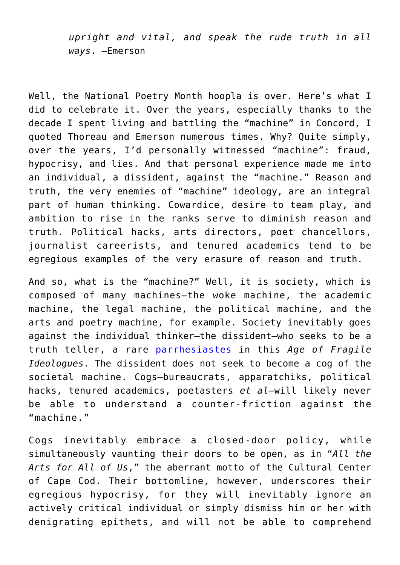*upright and vital, and speak the rude truth in all ways*. —Emerson

Well, the National Poetry Month hoopla is over. Here's what I did to celebrate it. Over the years, especially thanks to the decade I spent living and battling the "machine" in Concord, I quoted Thoreau and Emerson numerous times. Why? Quite simply, over the years, I'd personally witnessed "machine": fraud, hypocrisy, and lies. And that personal experience made me into an individual, a dissident, against the "machine." Reason and truth, the very enemies of "machine" ideology, are an integral part of human thinking. Cowardice, desire to team play, and ambition to rise in the ranks serve to diminish reason and truth. Political hacks, arts directors, poet chancellors, journalist careerists, and tenured academics tend to be egregious examples of the very erasure of reason and truth.

And so, what is the "machine?" Well, it is society, which is composed of many machines—the woke machine, the academic machine, the legal machine, the political machine, and the arts and poetry machine, for example. Society inevitably goes against the individual thinker—the dissident—who seeks to be a truth teller, a rare [parrhesiastes](http://theamericandissident.org/cold_passion_for_truth.html) in this *Age of Fragile Ideologues*. The dissident does not seek to become a cog of the societal machine. Cogs—bureaucrats, apparatchiks, political hacks, tenured academics, poetasters *et al*—will likely never be able to understand a counter-friction against the "machine."

Cogs inevitably embrace a closed-door policy, while simultaneously vaunting their doors to be open, as in "*All the Arts for All of Us*," the aberrant motto of the Cultural Center of Cape Cod. Their bottomline, however, underscores their egregious hypocrisy, for they will inevitably ignore an actively critical individual or simply dismiss him or her with denigrating epithets, and will not be able to comprehend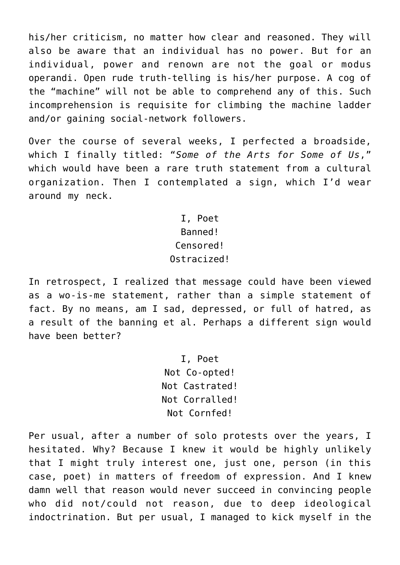his/her criticism, no matter how clear and reasoned. They will also be aware that an individual has no power. But for an individual, power and renown are not the goal or modus operandi. Open rude truth-telling is his/her purpose. A cog of the "machine" will not be able to comprehend any of this. Such incomprehension is requisite for climbing the machine ladder and/or gaining social-network followers.

Over the course of several weeks, I perfected a broadside, which I finally titled: "*Some of the Arts for Some of Us*," which would have been a rare truth statement from a cultural organization. Then I contemplated a sign, which I'd wear around my neck.

> I, Poet Banned! Censored! Ostracized!

In retrospect, I realized that message could have been viewed as a wo-is-me statement, rather than a simple statement of fact. By no means, am I sad, depressed, or full of hatred, as a result of the banning et al. Perhaps a different sign would have been better?

> I, Poet Not Co-opted! Not Castrated! Not Corralled! Not Cornfed!

Per usual, after a number of solo protests over the years, I hesitated. Why? Because I knew it would be highly unlikely that I might truly interest one, just one, person (in this case, poet) in matters of freedom of expression. And I knew damn well that reason would never succeed in convincing people who did not/could not reason, due to deep ideological indoctrination. But per usual, I managed to kick myself in the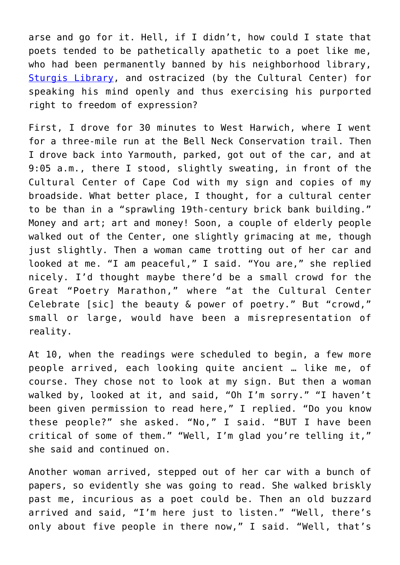arse and go for it. Hell, if I didn't, how could I state that poets tended to be pathetically apathetic to a poet like me, who had been permanently banned by his neighborhood library, [Sturgis Library](http://theamericandissident.org/orgs/sturgis_library.html), and ostracized (by the Cultural Center) for speaking his mind openly and thus exercising his purported right to freedom of expression?

First, I drove for 30 minutes to West Harwich, where I went for a three-mile run at the Bell Neck Conservation trail. Then I drove back into Yarmouth, parked, got out of the car, and at 9:05 a.m., there I stood, slightly sweating, in front of the Cultural Center of Cape Cod with my sign and copies of my broadside. What better place, I thought, for a cultural center to be than in a "sprawling 19th-century brick bank building." Money and art; art and money! Soon, a couple of elderly people walked out of the Center, one slightly grimacing at me, though just slightly. Then a woman came trotting out of her car and looked at me. "I am peaceful," I said. "You are," she replied nicely. I'd thought maybe there'd be a small crowd for the Great "Poetry Marathon," where "at the Cultural Center Celebrate [sic] the beauty & power of poetry." But "crowd," small or large, would have been a misrepresentation of reality.

At 10, when the readings were scheduled to begin, a few more people arrived, each looking quite ancient … like me, of course. They chose not to look at my sign. But then a woman walked by, looked at it, and said, "Oh I'm sorry." "I haven't been given permission to read here," I replied. "Do you know these people?" she asked. "No," I said. "BUT I have been critical of some of them." "Well, I'm glad you're telling it," she said and continued on.

Another woman arrived, stepped out of her car with a bunch of papers, so evidently she was going to read. She walked briskly past me, incurious as a poet could be. Then an old buzzard arrived and said, "I'm here just to listen." "Well, there's only about five people in there now," I said. "Well, that's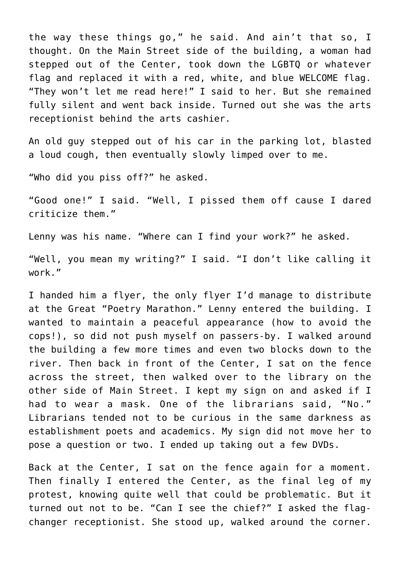the way these things go," he said. And ain't that so, I thought. On the Main Street side of the building, a woman had stepped out of the Center, took down the LGBTQ or whatever flag and replaced it with a red, white, and blue WELCOME flag. "They won't let me read here!" I said to her. But she remained fully silent and went back inside. Turned out she was the arts receptionist behind the arts cashier.

An old guy stepped out of his car in the parking lot, blasted a loud cough, then eventually slowly limped over to me.

"Who did you piss off?" he asked.

"Good one!" I said. "Well, I pissed them off cause I dared criticize them."

Lenny was his name. "Where can I find your work?" he asked.

"Well, you mean my writing?" I said. "I don't like calling it work."

I handed him a flyer, the only flyer I'd manage to distribute at the Great "Poetry Marathon." Lenny entered the building. I wanted to maintain a peaceful appearance (how to avoid the cops!), so did not push myself on passers-by. I walked around the building a few more times and even two blocks down to the river. Then back in front of the Center, I sat on the fence across the street, then walked over to the library on the other side of Main Street. I kept my sign on and asked if I had to wear a mask. One of the librarians said, "No." Librarians tended not to be curious in the same darkness as establishment poets and academics. My sign did not move her to pose a question or two. I ended up taking out a few DVDs.

Back at the Center, I sat on the fence again for a moment. Then finally I entered the Center, as the final leg of my protest, knowing quite well that could be problematic. But it turned out not to be. "Can I see the chief?" I asked the flagchanger receptionist. She stood up, walked around the corner.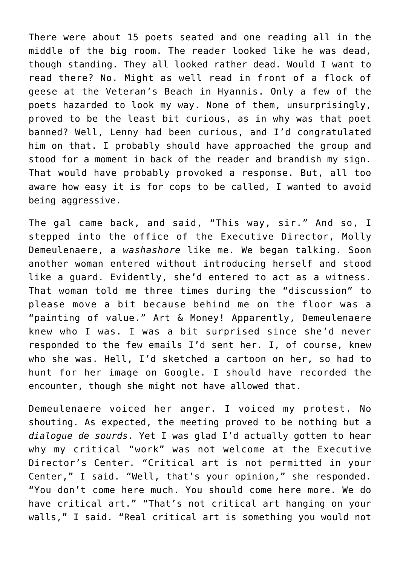There were about 15 poets seated and one reading all in the middle of the big room. The reader looked like he was dead, though standing. They all looked rather dead. Would I want to read there? No. Might as well read in front of a flock of geese at the Veteran's Beach in Hyannis. Only a few of the poets hazarded to look my way. None of them, unsurprisingly, proved to be the least bit curious, as in why was that poet banned? Well, Lenny had been curious, and I'd congratulated him on that. I probably should have approached the group and stood for a moment in back of the reader and brandish my sign. That would have probably provoked a response. But, all too aware how easy it is for cops to be called, I wanted to avoid being aggressive.

The gal came back, and said, "This way, sir." And so, I stepped into the office of the Executive Director, Molly Demeulenaere, a *washashore* like me. We began talking. Soon another woman entered without introducing herself and stood like a guard. Evidently, she'd entered to act as a witness. That woman told me three times during the "discussion" to please move a bit because behind me on the floor was a "painting of value." Art & Money! Apparently, Demeulenaere knew who I was. I was a bit surprised since she'd never responded to the few emails I'd sent her. I, of course, knew who she was. Hell, I'd sketched a cartoon on her, so had to hunt for her image on Google. I should have recorded the encounter, though she might not have allowed that.

Demeulenaere voiced her anger. I voiced my protest. No shouting. As expected, the meeting proved to be nothing but a *dialogue de sourds*. Yet I was glad I'd actually gotten to hear why my critical "work" was not welcome at the Executive Director's Center. "Critical art is not permitted in your Center," I said. "Well, that's your opinion," she responded. "You don't come here much. You should come here more. We do have critical art." "That's not critical art hanging on your walls," I said. "Real critical art is something you would not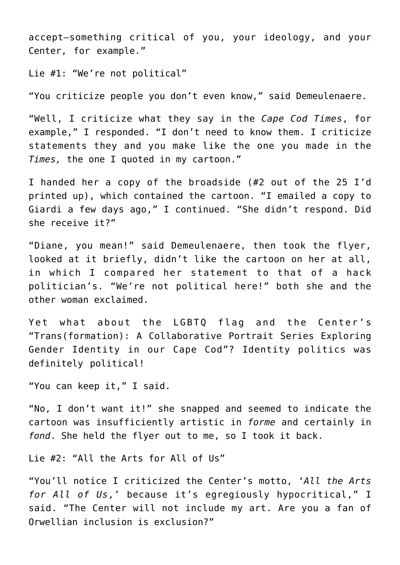accept—something critical of you, your ideology, and your Center, for example."

Lie #1: "We're not political"

"You criticize people you don't even know," said Demeulenaere.

"Well, I criticize what they say in the *Cape Cod Times*, for example," I responded. "I don't need to know them. I criticize statements they and you make like the one you made in the *Times,* the one I quoted in my cartoon."

I handed her a copy of the broadside (#2 out of the 25 I'd printed up), which contained the cartoon. "I emailed a copy to Giardi a few days ago," I continued. "She didn't respond. Did she receive it?"

"Diane, you mean!" said Demeulenaere, then took the flyer, looked at it briefly, didn't like the cartoon on her at all, in which I compared her statement to that of a hack politician's. "We're not political here!" both she and the other woman exclaimed.

Yet what about the LGBTQ flag and the Center's "Trans(formation): A Collaborative Portrait Series Exploring Gender Identity in our Cape Cod"? Identity politics was definitely political!

"You can keep it," I said.

"No, I don't want it!" she snapped and seemed to indicate the cartoon was insufficiently artistic in *forme* and certainly in *fond*. She held the flyer out to me, so I took it back.

Lie #2: "All the Arts for All of Us"

"You'll notice I criticized the Center's motto, '*All the Arts for All of Us*,' because it's egregiously hypocritical," I said. "The Center will not include my art. Are you a fan of Orwellian inclusion is exclusion?"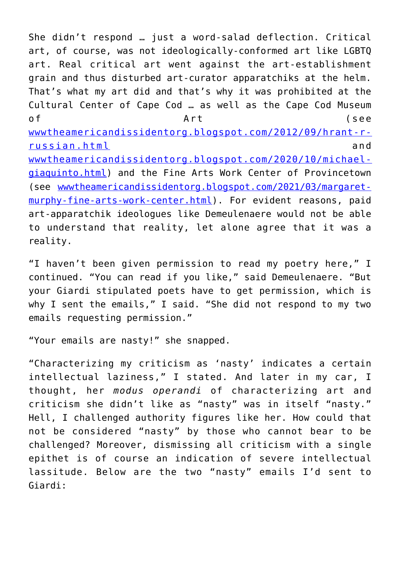She didn't respond … just a word-salad deflection. Critical art, of course, was not ideologically-conformed art like LGBTQ art. Real critical art went against the art-establishment grain and thus disturbed art-curator apparatchiks at the helm. That's what my art did and that's why it was prohibited at the Cultural Center of Cape Cod … as well as the Cape Cod Museum of Art (see [wwwtheamericandissidentorg.blogspot.com/2012/09/hrant-r](http://wwwtheamericandissidentorg.blogspot.com/2012/09/hrant-r-russian.html)[russian.html](http://wwwtheamericandissidentorg.blogspot.com/2012/09/hrant-r-russian.html) and [wwwtheamericandissidentorg.blogspot.com/2020/10/michael](http://wwwtheamericandissidentorg.blogspot.com/2020/10/michael-giaquinto.html)[giaquinto.html\)](http://wwwtheamericandissidentorg.blogspot.com/2020/10/michael-giaquinto.html) and the Fine Arts Work Center of Provincetown (see [wwwtheamericandissidentorg.blogspot.com/2021/03/margaret](http://wwwtheamericandissidentorg.blogspot.com/2021/03/margaret-murphy-fine-arts-work-center.html)[murphy-fine-arts-work-center.html\)](http://wwwtheamericandissidentorg.blogspot.com/2021/03/margaret-murphy-fine-arts-work-center.html). For evident reasons, paid art-apparatchik ideologues like Demeulenaere would not be able to understand that reality, let alone agree that it was a reality.

"I haven't been given permission to read my poetry here," I continued. "You can read if you like," said Demeulenaere. "But your Giardi stipulated poets have to get permission, which is why I sent the emails," I said. "She did not respond to my two emails requesting permission."

"Your emails are nasty!" she snapped.

"Characterizing my criticism as 'nasty' indicates a certain intellectual laziness," I stated. And later in my car, I thought, her *modus operandi* of characterizing art and criticism she didn't like as "nasty" was in itself "nasty." Hell, I challenged authority figures like her. How could that not be considered "nasty" by those who cannot bear to be challenged? Moreover, dismissing all criticism with a single epithet is of course an indication of severe intellectual lassitude. Below are the two "nasty" emails I'd sent to Giardi: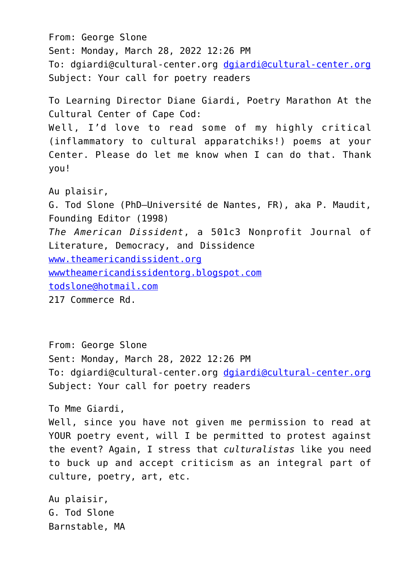From: George Slone Sent: Monday, March 28, 2022 12:26 PM To: dgiardi@cultural-center.org [dgiardi@cultural-center.org](mailto:dgiardi@cultural-center.org) Subject: Your call for poetry readers To Learning Director Diane Giardi, Poetry Marathon At the Cultural Center of Cape Cod: Well, I'd love to read some of my highly critical (inflammatory to cultural apparatchiks!) poems at your Center. Please do let me know when I can do that. Thank you! Au plaisir, G. Tod Slone (PhD—Université de Nantes, FR), aka P. Maudit, Founding Editor (1998) *The American Dissident*, a 501c3 Nonprofit Journal of Literature, Democracy, and Dissidence [www.theamericandissident.org](http://www.theamericandissident.org/) [wwwtheamericandissidentorg.blogspot.com](http://wwwtheamericandissidentorg.blogspot.com/) [todslone@hotmail.com](mailto:todslone@hotmail.com) 217 Commerce Rd.

From: George Slone Sent: Monday, March 28, 2022 12:26 PM To: dgiardi@cultural-center.org [dgiardi@cultural-center.org](mailto:dgiardi@cultural-center.org) Subject: Your call for poetry readers

To Mme Giardi,

Well, since you have not given me permission to read at YOUR poetry event, will I be permitted to protest against the event? Again, I stress that *culturalistas* like you need to buck up and accept criticism as an integral part of culture, poetry, art, etc.

Au plaisir, G. Tod Slone Barnstable, MA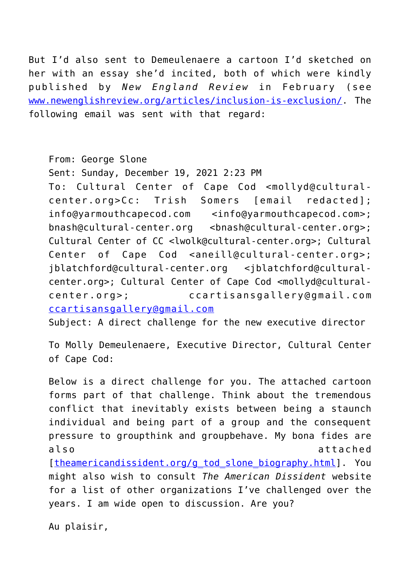But I'd also sent to Demeulenaere a cartoon I'd sketched on her with an essay she'd incited, both of which were kindly published by *New England Review* in February (see [www.newenglishreview.org/articles/inclusion-is-exclusion/](https://www.newenglishreview.org/articles/inclusion-is-exclusion/). The following email was sent with that regard:

From: George Slone

Sent: Sunday, December 19, 2021 2:23 PM To: Cultural Center of Cape Cod <mollyd@culturalcenter.org>Cc: Trish Somers [email redacted]; info@yarmouthcapecod.com <info@yarmouthcapecod.com>; bnash@cultural-center.org <bnash@cultural-center.org>; Cultural Center of CC <lwolk@cultural-center.org>; Cultural Center of Cape Cod <aneill@cultural-center.org>; jblatchford@cultural-center.org <jblatchford@culturalcenter.org>; Cultural Center of Cape Cod <mollyd@culturalcenter.org>; ccartisansgallery@gmail.com [ccartisansgallery@gmail.com](mailto:ccartisansgallery@gmail.com)

Subject: A direct challenge for the new executive director

To Molly Demeulenaere, Executive Director, Cultural Center of Cape Cod:

Below is a direct challenge for you. The attached cartoon forms part of that challenge. Think about the tremendous conflict that inevitably exists between being a staunch individual and being part of a group and the consequent pressure to groupthink and groupbehave. My bona fides are also attached

[[theamericandissident.org/g\\_tod\\_slone\\_biography.html](http://theamericandissident.org/g_tod_slone_biography.html)]. You might also wish to consult *The American Dissident* website for a list of other organizations I've challenged over the years. I am wide open to discussion. Are you?

Au plaisir,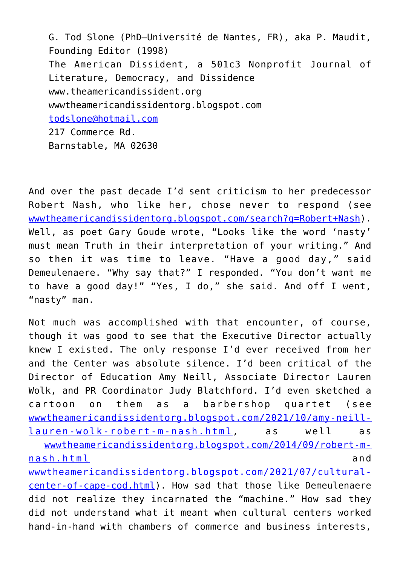G. Tod Slone (PhD—Université de Nantes, FR), aka P. Maudit, Founding Editor (1998) The American Dissident, a 501c3 Nonprofit Journal of Literature, Democracy, and Dissidence www.theamericandissident.org wwwtheamericandissidentorg.blogspot.com [todslone@hotmail.com](mailto:todslone@hotmail.com) 217 Commerce Rd. Barnstable, MA 02630

And over the past decade I'd sent criticism to her predecessor Robert Nash, who like her, chose never to respond (see [wwwtheamericandissidentorg.blogspot.com/search?q=Robert+Nash](https://wwwtheamericandissidentorg.blogspot.com/search?q=Robert+Nash)). Well, as poet Gary Goude wrote, "Looks like the word 'nasty' must mean Truth in their interpretation of your writing." And so then it was time to leave. "Have a good day," said Demeulenaere. "Why say that?" I responded. "You don't want me to have a good day!" "Yes, I do," she said. And off I went, "nasty" man.

Not much was accomplished with that encounter, of course, though it was good to see that the Executive Director actually knew I existed. The only response I'd ever received from her and the Center was absolute silence. I'd been critical of the Director of Education Amy Neill, Associate Director Lauren Wolk, and PR Coordinator Judy Blatchford. I'd even sketched a cartoon on them as a barbershop quartet (see [wwwtheamericandissidentorg.blogspot.com/2021/10/amy-neill](http://wwwtheamericandissidentorg.blogspot.com/2021/10/amy-neill-lauren-wolk-robert-m-nash.html)[lauren-wolk-robert-m-nash.html](http://wwwtheamericandissidentorg.blogspot.com/2021/10/amy-neill-lauren-wolk-robert-m-nash.html), as well as

[wwwtheamericandissidentorg.blogspot.com/2014/09/robert-m](http://wwwtheamericandissidentorg.blogspot.com/2014/09/robert-m-nash.html)[nash.html](http://wwwtheamericandissidentorg.blogspot.com/2014/09/robert-m-nash.html) and [wwwtheamericandissidentorg.blogspot.com/2021/07/cultural-](http://wwwtheamericandissidentorg.blogspot.com/2021/07/cultural-center-of-cape-cod.html)

[center-of-cape-cod.html](http://wwwtheamericandissidentorg.blogspot.com/2021/07/cultural-center-of-cape-cod.html)). How sad that those like Demeulenaere did not realize they incarnated the "machine." How sad they did not understand what it meant when cultural centers worked hand-in-hand with chambers of commerce and business interests,